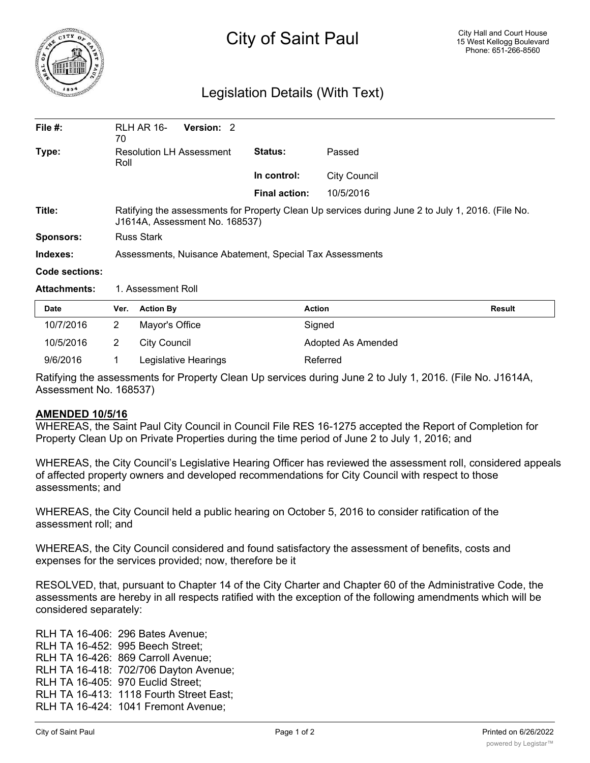

## Legislation Details (With Text)

| File #:             | <b>RLH AR 16-</b><br>70                                                                                                             | Version: 2 |                      |                     |  |  |
|---------------------|-------------------------------------------------------------------------------------------------------------------------------------|------------|----------------------|---------------------|--|--|
| Type:               | <b>Resolution LH Assessment</b><br>Roll                                                                                             |            | <b>Status:</b>       | Passed              |  |  |
|                     |                                                                                                                                     |            | In control:          | <b>City Council</b> |  |  |
|                     |                                                                                                                                     |            | <b>Final action:</b> | 10/5/2016           |  |  |
| Title:              | Ratifying the assessments for Property Clean Up services during June 2 to July 1, 2016. (File No.<br>J1614A, Assessment No. 168537) |            |                      |                     |  |  |
| Sponsors:           | <b>Russ Stark</b>                                                                                                                   |            |                      |                     |  |  |
| Indexes:            | Assessments, Nuisance Abatement, Special Tax Assessments                                                                            |            |                      |                     |  |  |
| Code sections:      |                                                                                                                                     |            |                      |                     |  |  |
| <b>Attachments:</b> | 1. Assessment Roll                                                                                                                  |            |                      |                     |  |  |

| <b>Date</b> | Ver. | <b>Action By</b>     | <b>Action</b>      | Result |
|-------------|------|----------------------|--------------------|--------|
| 10/7/2016   |      | Mayor's Office       | Signed             |        |
| 10/5/2016   |      | City Council         | Adopted As Amended |        |
| 9/6/2016    |      | Legislative Hearings | Referred           |        |

Ratifying the assessments for Property Clean Up services during June 2 to July 1, 2016. (File No. J1614A, Assessment No. 168537)

## **AMENDED 10/5/16**

WHEREAS, the Saint Paul City Council in Council File RES 16-1275 accepted the Report of Completion for Property Clean Up on Private Properties during the time period of June 2 to July 1, 2016; and

WHEREAS, the City Council's Legislative Hearing Officer has reviewed the assessment roll, considered appeals of affected property owners and developed recommendations for City Council with respect to those assessments; and

WHEREAS, the City Council held a public hearing on October 5, 2016 to consider ratification of the assessment roll; and

WHEREAS, the City Council considered and found satisfactory the assessment of benefits, costs and expenses for the services provided; now, therefore be it

RESOLVED, that, pursuant to Chapter 14 of the City Charter and Chapter 60 of the Administrative Code, the assessments are hereby in all respects ratified with the exception of the following amendments which will be considered separately:

RLH TA 16-406: 296 Bates Avenue; RLH TA 16-452: 995 Beech Street; RLH TA 16-426: 869 Carroll Avenue; RLH TA 16-418: 702/706 Dayton Avenue; RLH TA 16-405: 970 Euclid Street; RLH TA 16-413: 1118 Fourth Street East; RLH TA 16-424: 1041 Fremont Avenue;